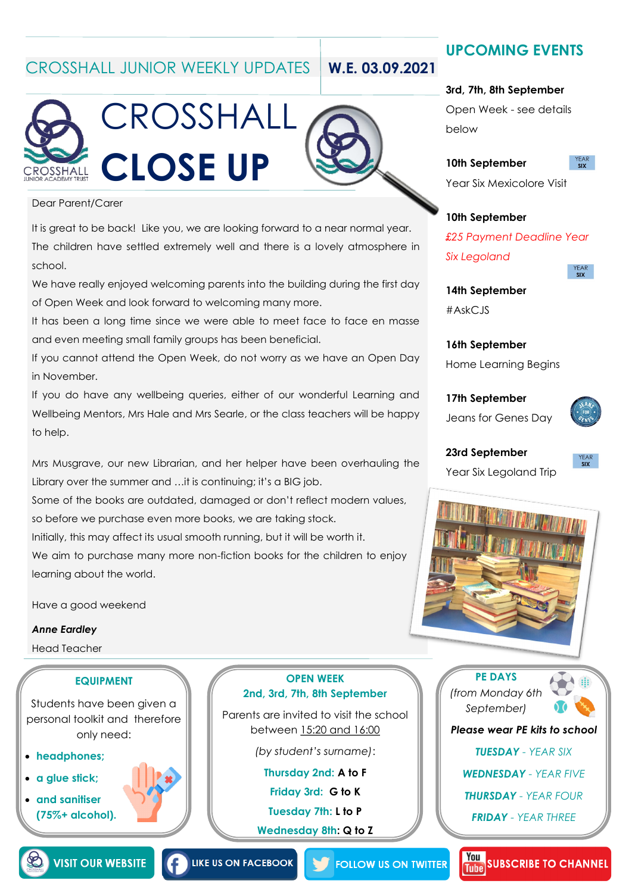### CROSSHALL JUNIOR WEEKLY UPDATES **W.E. 03.09.2021**

CROSSHALL

**CLOSE UP**



# **UPCOMING EVENTS**

#### **3rd, 7th, 8th September**

Open Week - see details below

**10th September**

**YEAR** 

Year Six Mexicolore Visit

### **10th September**

*£25 Payment Deadline Year Six Legoland* 

### **14th September**

#AskCJS

**16th September** Home Learning Begins

**17th September** Jeans for Genes Day



**23rd September**

Year Six Legoland Trip



#### Dear Parent/Carer

SSHALL

It is great to be back! Like you, we are looking forward to a near normal year. The children have settled extremely well and there is a lovely atmosphere in school.

We have really enjoyed welcoming parents into the building during the first day of Open Week and look forward to welcoming many more.

It has been a long time since we were able to meet face to face en masse and even meeting small family groups has been beneficial.

If you cannot attend the Open Week, do not worry as we have an Open Day in November.

If you do have any wellbeing queries, either of our wonderful Learning and Wellbeing Mentors, Mrs Hale and Mrs Searle, or the class teachers will be happy to help.

Mrs Musgrave, our new Librarian, and her helper have been overhauling the Library over the summer and …it is continuing; it's a BIG job.

Some of the books are outdated, damaged or don't reflect modern values, so before we purchase even more books, we are taking stock.

Initially, this may affect its usual smooth running, but it will be worth it.

We aim to purchase many more non-fiction books for the children to enjoy learning about the world.

Have a good weekend

#### *Anne Eardley*

Head Teacher

#### **EQUIPMENT**

Students have been given a personal toolkit and therefore only need:

- **headphones;**
- **a glue stick;**
- **and sanitiser (75%+ alcohol).**

**OPEN WEEK 2nd, 3rd, 7th, 8th September**

Parents are invited to visit the school between 15:20 and 16:00

*(by student's surname)*:

**Thursday 2nd: A to F**

**Friday 3rd: G to K**

**Tuesday 7th: L to P**

**Wednesday 8th: Q to Z**





*Please wear PE kits to school*

*TUESDAY - YEAR SIX*

*WEDNESDAY - YEAR FIVE*

*THURSDAY - YEAR FOUR*

*FRIDAY - YEAR THREE*



**LIKE US ON FACEBOOK** 

**FOLLOW US ON TWITTER**